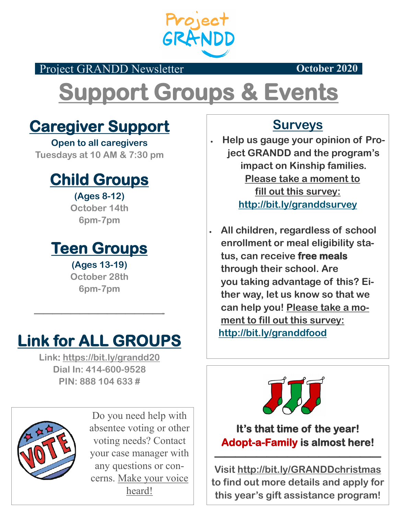

Project GRANDD Newsletter **October 2020** 

# **Support Groups & Events**

#### **Caregiver Support**

**Open to all caregivers Tuesdays at 10 AM & 7:30 pm**

#### **Child Groups**

**(Ages 8-12) October 14th 6pm-7pm**

#### **Teen Groups**

**(Ages 13-19) October 28th 6pm-7pm**

## **Link for ALL GROUPS**

**——————————————-** 

**Link: https://bit.ly/grandd20 Dial In: 414-600-9528 PIN: 888 104 633 #**



Do you need help with absentee voting or other voting needs? Contact your case manager with any questions or concerns. Make your voice heard!

#### **Surveys**

 **Help us gauge your opinion of Project GRANDD and the program's impact on Kinship families. Please take a moment to fill out this survey: http://bit.ly/granddsurvey**

 **All children, regardless of school enrollment or meal eligibility status, can receive free meals through their school. Are you taking advantage of this? Either way, let us know so that we can help you! Please take a moment to fill out this survey: http://bit.ly/granddfood**



**It's that time of the year! Adopt-a-Family is almost here!** 

**Visit http://bit.ly/GRANDDchristmas to find out more details and apply for this year's gift assistance program!**

**————————————————**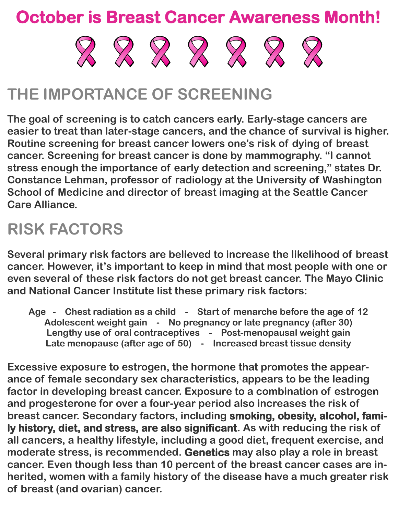### **October is Breast Cancer Awareness Month!**



## **THE IMPORTANCE OF SCREENING**

**The goal of screening is to catch cancers early. Early-stage cancers are easier to treat than later-stage cancers, and the chance of survival is higher. Routine screening for breast cancer lowers one's risk of dying of breast cancer. Screening for breast cancer is done by mammography. "I cannot stress enough the importance of early detection and screening," states Dr. Constance Lehman, professor of radiology at the University of Washington School of Medicine and director of breast imaging at the Seattle Cancer Care Alliance.**

## **RISK FACTORS**

**Several primary risk factors are believed to increase the likelihood of breast cancer. However, it's important to keep in mind that most people with one or even several of these risk factors do not get breast cancer. The Mayo Clinic and National Cancer Institute list these primary risk factors:**

**Age - Chest radiation as a child - Start of menarche before the age of 12 Adolescent weight gain - No pregnancy or late pregnancy (after 30) Lengthy use of oral contraceptives - Post-menopausal weight gain Late menopause (after age of 50) - Increased breast tissue density**

**Excessive exposure to estrogen, the hormone that promotes the appearance of female secondary sex characteristics, appears to be the leading factor in developing breast cancer. Exposure to a combination of estrogen and progesterone for over a four-year period also increases the risk of breast cancer. Secondary factors, including smoking, obesity, alcohol, family history, diet, and stress, are also significant. As with reducing the risk of all cancers, a healthy lifestyle, including a good diet, frequent exercise, and moderate stress, is recommended. Genetics may also play a role in breast cancer. Even though less than 10 percent of the breast cancer cases are inherited, women with a family history of the disease have a much greater risk of breast (and ovarian) cancer.**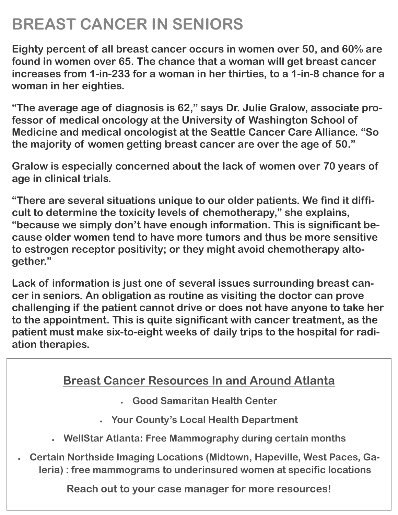## **BREAST CANCER IN SENIORS**

**Eighty percent of all breast cancer occurs in women over 50, and 60% are found in women over 65. The chance that a woman will get breast cancer increases from 1-in-233 for a woman in her thirties, to a 1-in-8 chance for a woman in her eighties.**

**"The average age of diagnosis is 62," says Dr. Julie Gralow, associate professor of medical oncology at the University of Washington School of Medicine and medical oncologist at the Seattle Cancer Care Alliance. "So the majority of women getting breast cancer are over the age of 50."**

**Gralow is especially concerned about the lack of women over 70 years of age in clinical trials.**

**"There are several situations unique to our older patients. We find it difficult to determine the toxicity levels of chemotherapy," she explains, "because we simply don't have enough information. This is significant because older women tend to have more tumors and thus be more sensitive to estrogen receptor positivity; or they might avoid chemotherapy altogether."**

**Lack of information is just one of several issues surrounding breast cancer in seniors. An obligation as routine as visiting the doctor can prove challenging if the patient cannot drive or does not have anyone to take her to the appointment. This is quite significant with cancer treatment, as the patient must make six-to-eight weeks of daily trips to the hospital for radiation therapies.** 

#### **Breast Cancer Resources In and Around Atlanta**

- **Good Samaritan Health Center**
- **Your County's Local Health Department**
- **WellStar Atlanta: Free Mammography during certain months**
- **Certain Northside Imaging Locations (Midtown, Hapeville, West Paces, Galeria) : free mammograms to underinsured women at specific locations**

**Reach out to your case manager for more resources!**